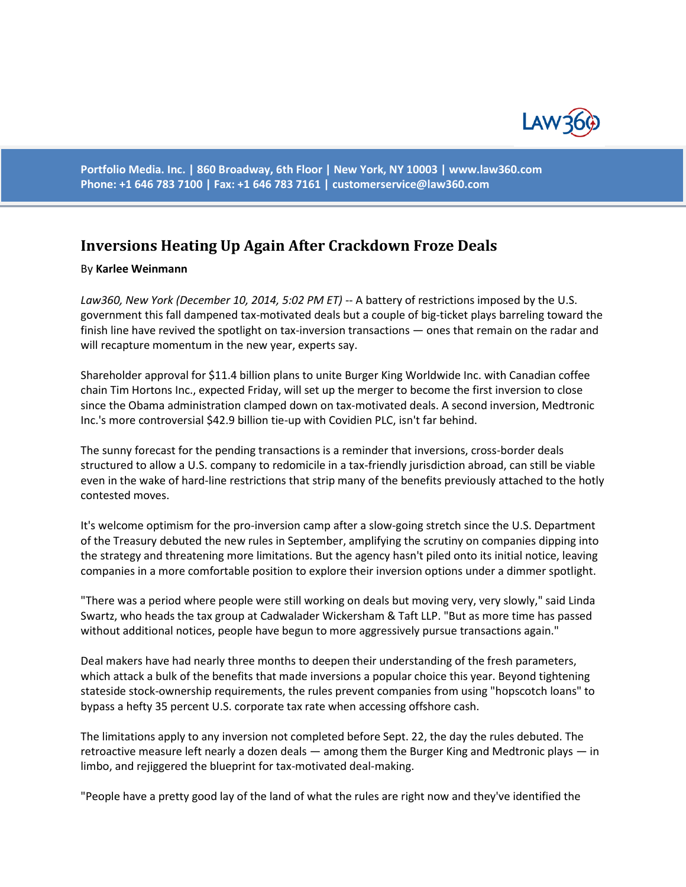

**Portfolio Media. Inc. | 860 Broadway, 6th Floor | New York, NY 10003 | www.law360.com Phone: +1 646 783 7100 | Fax: +1 646 783 7161 | [customerservice@law360.com](mailto:customerservice@law360.com)**

## **Inversions Heating Up Again After Crackdown Froze Deals**

## By **Karlee Weinmann**

*Law360, New York (December 10, 2014, 5:02 PM ET)* -- A battery of restrictions imposed by the U.S. government this fall dampened tax-motivated deals but a couple of big-ticket plays barreling toward the finish line have revived the spotlight on tax-inversion transactions — ones that remain on the radar and will recapture momentum in the new year, experts say.

Shareholder approval for \$11.4 billion plans to unite Burger King Worldwide Inc. with Canadian coffee chain Tim Hortons Inc., expected Friday, will set up the merger to become the first inversion to close since the Obama administration clamped down on tax-motivated deals. A second inversion, Medtronic Inc.'s more controversial \$42.9 billion tie-up with Covidien PLC, isn't far behind.

The sunny forecast for the pending transactions is a reminder that inversions, cross-border deals structured to allow a U.S. company to redomicile in a tax-friendly jurisdiction abroad, can still be viable even in the wake of hard-line restrictions that strip many of the benefits previously attached to the hotly contested moves.

It's welcome optimism for the pro-inversion camp after a slow-going stretch since the U.S. Department of the Treasury debuted the new rules in September, amplifying the scrutiny on companies dipping into the strategy and threatening more limitations. But the agency hasn't piled onto its initial notice, leaving companies in a more comfortable position to explore their inversion options under a dimmer spotlight.

"There was a period where people were still working on deals but moving very, very slowly," said Linda Swartz, who heads the tax group at Cadwalader Wickersham & Taft LLP. "But as more time has passed without additional notices, people have begun to more aggressively pursue transactions again."

Deal makers have had nearly three months to deepen their understanding of the fresh parameters, which attack a bulk of the benefits that made inversions a popular choice this year. Beyond tightening stateside stock-ownership requirements, the rules prevent companies from using "hopscotch loans" to bypass a hefty 35 percent U.S. corporate tax rate when accessing offshore cash.

The limitations apply to any inversion not completed before Sept. 22, the day the rules debuted. The retroactive measure left nearly a dozen deals — among them the Burger King and Medtronic plays — in limbo, and rejiggered the blueprint for tax-motivated deal-making.

"People have a pretty good lay of the land of what the rules are right now and they've identified the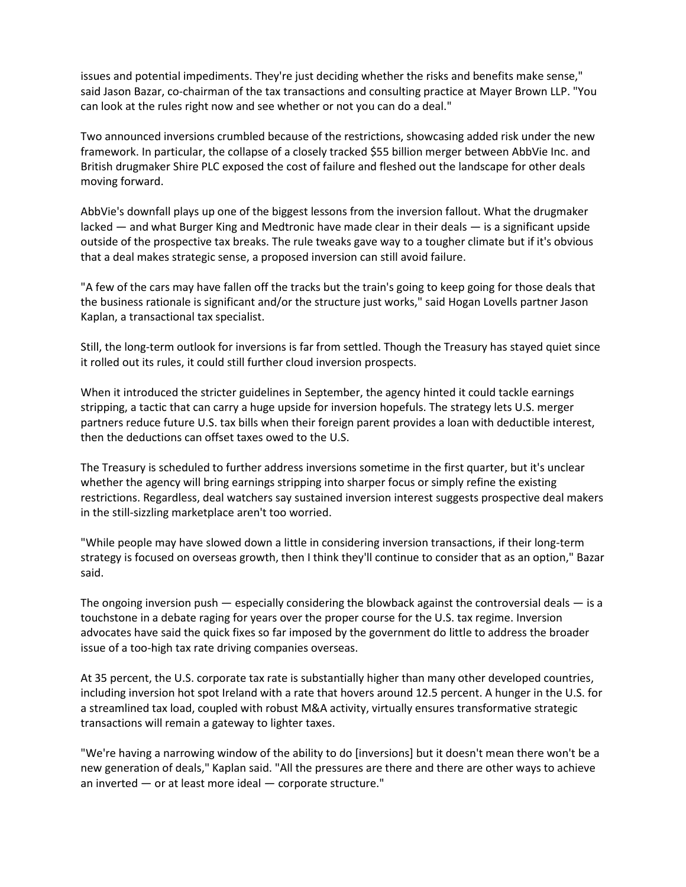issues and potential impediments. They're just deciding whether the risks and benefits make sense," said Jason Bazar, co-chairman of the tax transactions and consulting practice at Mayer Brown LLP. "You can look at the rules right now and see whether or not you can do a deal."

Two announced inversions crumbled because of the restrictions, showcasing added risk under the new framework. In particular, the collapse of a closely tracked \$55 billion merger between AbbVie Inc. and British drugmaker Shire PLC exposed the cost of failure and fleshed out the landscape for other deals moving forward.

AbbVie's downfall plays up one of the biggest lessons from the inversion fallout. What the drugmaker lacked — and what Burger King and Medtronic have made clear in their deals — is a significant upside outside of the prospective tax breaks. The rule tweaks gave way to a tougher climate but if it's obvious that a deal makes strategic sense, a proposed inversion can still avoid failure.

"A few of the cars may have fallen off the tracks but the train's going to keep going for those deals that the business rationale is significant and/or the structure just works," said Hogan Lovells partner Jason Kaplan, a transactional tax specialist.

Still, the long-term outlook for inversions is far from settled. Though the Treasury has stayed quiet since it rolled out its rules, it could still further cloud inversion prospects.

When it introduced the stricter guidelines in September, the agency hinted it could tackle earnings stripping, a tactic that can carry a huge upside for inversion hopefuls. The strategy lets U.S. merger partners reduce future U.S. tax bills when their foreign parent provides a loan with deductible interest, then the deductions can offset taxes owed to the U.S.

The Treasury is scheduled to further address inversions sometime in the first quarter, but it's unclear whether the agency will bring earnings stripping into sharper focus or simply refine the existing restrictions. Regardless, deal watchers say sustained inversion interest suggests prospective deal makers in the still-sizzling marketplace aren't too worried.

"While people may have slowed down a little in considering inversion transactions, if their long-term strategy is focused on overseas growth, then I think they'll continue to consider that as an option," Bazar said.

The ongoing inversion push  $-$  especially considering the blowback against the controversial deals  $-$  is a touchstone in a debate raging for years over the proper course for the U.S. tax regime. Inversion advocates have said the quick fixes so far imposed by the government do little to address the broader issue of a too-high tax rate driving companies overseas.

At 35 percent, the U.S. corporate tax rate is substantially higher than many other developed countries, including inversion hot spot Ireland with a rate that hovers around 12.5 percent. A hunger in the U.S. for a streamlined tax load, coupled with robust M&A activity, virtually ensures transformative strategic transactions will remain a gateway to lighter taxes.

"We're having a narrowing window of the ability to do [inversions] but it doesn't mean there won't be a new generation of deals," Kaplan said. "All the pressures are there and there are other ways to achieve an inverted — or at least more ideal — corporate structure."